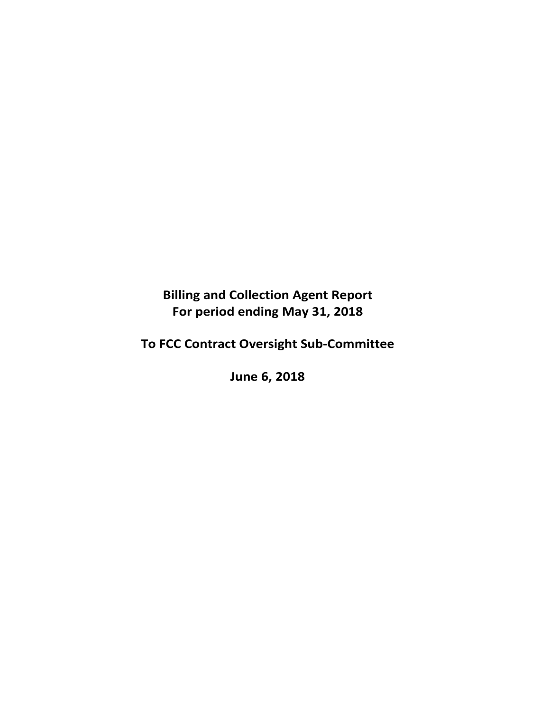**Billing and Collection Agent Report For period ending May 31, 2018** 

**To FCC Contract Oversight Sub‐Committee** 

**June 6, 2018**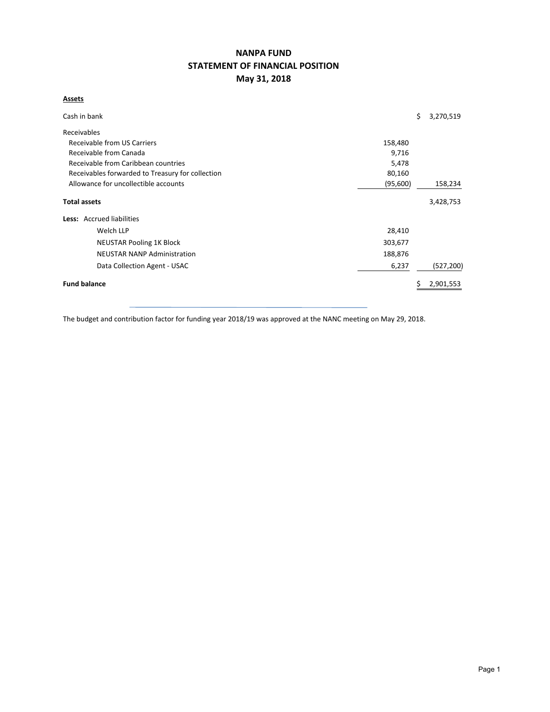# **NANPA FUND STATEMENT OF FINANCIAL POSITION May 31, 2018**

#### **Assets**

| Cash in bank                                               |          | \$ | 3,270,519  |  |  |  |  |
|------------------------------------------------------------|----------|----|------------|--|--|--|--|
| Receivables                                                |          |    |            |  |  |  |  |
| Receivable from US Carriers                                | 158,480  |    |            |  |  |  |  |
| Receivable from Canada<br>9,716                            |          |    |            |  |  |  |  |
| Receivable from Caribbean countries<br>5,478               |          |    |            |  |  |  |  |
| Receivables forwarded to Treasury for collection<br>80,160 |          |    |            |  |  |  |  |
| Allowance for uncollectible accounts                       | (95,600) |    |            |  |  |  |  |
| <b>Total assets</b>                                        |          |    | 3,428,753  |  |  |  |  |
| Less: Accrued liabilities                                  |          |    |            |  |  |  |  |
| Welch LLP                                                  | 28,410   |    |            |  |  |  |  |
| <b>NEUSTAR Pooling 1K Block</b>                            | 303,677  |    |            |  |  |  |  |
| <b>NEUSTAR NANP Administration</b>                         | 188,876  |    |            |  |  |  |  |
| Data Collection Agent - USAC                               | 6,237    |    | (527, 200) |  |  |  |  |
| <b>Fund balance</b>                                        |          |    | 2,901,553  |  |  |  |  |

The budget and contribution factor for funding year 2018/19 was approved at the NANC meeting on May 29, 2018.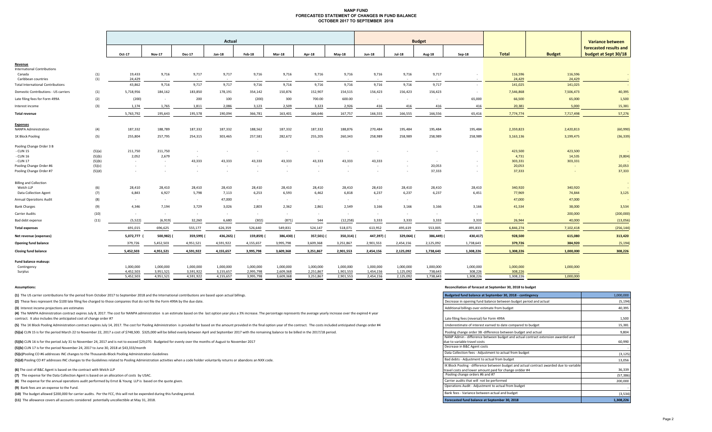#### **NANP FUND FORECASTED STATEMENT OF CHANGES IN FUND BALANCE OCTOBER 2017 TO SEPTEMBER 2018**

|                                               |        | Actual     |                |               |            |                |           |           |           | <b>Budget</b> |               |               |           |              |               | <b>Variance between</b> |
|-----------------------------------------------|--------|------------|----------------|---------------|------------|----------------|-----------|-----------|-----------|---------------|---------------|---------------|-----------|--------------|---------------|-------------------------|
|                                               |        |            |                |               |            |                |           |           |           |               |               |               |           |              |               | forecasted results and  |
|                                               |        | Oct-17     | <b>Nov-17</b>  | <b>Dec-17</b> | Jan-18     | Feb-18         | $Mar-18$  | Apr-18    | $May-18$  | <b>Jun-18</b> | <b>Jul-18</b> | <b>Aug-18</b> | $Sep-18$  | <b>Total</b> | <b>Budget</b> | budget at Sept 30/18    |
|                                               |        |            |                |               |            |                |           |           |           |               |               |               |           |              |               |                         |
| Revenue<br><b>International Contributions</b> |        |            |                |               |            |                |           |           |           |               |               |               |           |              |               |                         |
| Canada                                        | (1)    | 19,433     | 9,716          | 9,717         | 9,717      | 9,716          | 9,716     | 9,716     | 9,716     | 9,716         | 9,716         | 9,717         | $\sim$    | 116,596      | 116,596       | $\sim$                  |
| Caribbean countries                           | (1)    | 24,429     |                | $\sim$        |            |                |           |           | $\sim$    |               |               |               |           | 24,429       | 24,429        |                         |
| <b>Total International Contributions</b>      |        | 43,862     | 9,716          | 9,717         | 9,717      | 9,716          | 9,716     | 9,716     | 9,716     | 9,716         | 9,716         | 9,717         | $\sim$    | 141,025      | 141,025       | $\sim$                  |
| Domestic Contributions - US carriers          | (1)    | 5,718,956  | 184,162        | 183,850       | 178,191    | 354,142        | 150,876   | 152,907   | 154,515   | 156,423       | 156,423       | 156,423       | $\sim$    | 7,546,868    | 7,506,473     | 40,395                  |
| Late filing fees for Form 499A                | (2)    | (200)      | $\sim 10^{-1}$ | 200           | 100        | (200)          | 300       | 700.00    | 600.00    | $\sim$        | $\sim$ $-$    | $\sim$        | 65,000    | 66,500       | 65,000        | 1,500                   |
| Interest income                               | (3)    | 1,174      | 1,765          | 1,811         | 2,086      | 3,123          | 2,509     | 3,323     | 2,926     | 416           | 416           | 416           | 416       | 20,381       | 5,000         | 15,381                  |
| <b>Total revenue</b>                          |        | 5,763,792  | 195,643        | 195,578       | 190,094    | 366,781        | 163,401   | 166,646   | 167,757   | 166,555       | 166,555       | 166,556       | 65,416    | 7,774,774    | 7,717,498     | 57,276                  |
|                                               |        |            |                |               |            |                |           |           |           |               |               |               |           |              |               |                         |
| <b>Expenses</b><br>NANPA Administration       | (4)    | 187,332    | 188,789        | 187,332       | 187,332    | 188,562        | 187,332   | 187,332   | 188,876   | 270,484       | 195,484       | 195,484       | 195,484   | 2,359,823    | 2,420,813     | (60, 990)               |
| 1K Block Pooling                              | (5)    | 255,804    | 257,795        | 254,315       | 303,465    | 257,581        | 282,672   | 255,205   | 260,343   | 258,989       | 258,989       | 258,989       | 258,989   | 3,163,136    | 3,199,475     | (36, 339)               |
| Pooling Change Order 3 B                      |        |            |                |               |            |                |           |           |           |               |               |               |           |              |               |                         |
| - CLIN 15                                     | (5)(a) | 211,750    | 211,750        | $\sim$        |            |                |           |           |           |               |               |               |           | 423,500      | 423,500       |                         |
| - CLIN 16                                     | (5)(b) | 2,052      | 2,679          | $\sim$        |            |                |           |           |           |               |               |               |           | 4,731        | 14,535        | (9,804)                 |
| - CLIN 17                                     | (5)(b) | $\sim$ $-$ | $\sim 100$     | 43,333        | 43,333     | 43,333         | 43,333    | 43,333    | 43,333    | 43,333        | $\sim$        | $\sim$        | $\sim$    | 303,331      | 303,331       |                         |
| Pooling Change Order #6                       | (5)(c) | $\sim$     |                | $\sim$        |            | $\sim$         | $\sim$    | $\sim$    | $\sim$    | $\sim$        | $\sim$        | 20,053        |           | 20,053       |               | 20,053                  |
| Pooling Change Order #7                       | (5)(d) | $\sim$     |                | $\sim$        |            | $\sim$         |           | $\sim$    | $\sim$    | $\sim$        | $\sim$        | 37,333        | $\sim$    | 37,333       |               | 37,333                  |
| <b>Billing and Collection</b>                 |        |            |                |               |            |                |           |           |           |               |               |               |           |              |               |                         |
| Welch LLP                                     | (6)    | 28,410     | 28,410         | 28,410        | 28,410     | 28,410         | 28,410    | 28,410    | 28,410    | 28,410        | 28,410        | 28,410        | 28,410    | 340,920      | 340,920       |                         |
| <b>Data Collection Agent</b>                  | (7)    | 6,843      | 6,927          | 5,798         | 7,113      | 6,253          | 6,593     | 6,462     | 6,818     | 6,237         | 6,237         | 6,237         | 6,451     | 77,969       | 74,844        | 3,125                   |
| <b>Annual Operations Audit</b>                | (8)    | $\sim$     | $\sim$         | $\sim$        | 47,000     | $\sim$         | $\sim$    | $\sim$    | $\sim$    | $\sim$        | $\sim$        |               |           | 47,000       | 47,000        |                         |
| <b>Bank Charges</b>                           | (9)    | 4,346      | 7,194          | 3,729         | 3,026      | 2,803          | 2,362     | 2,861     | 2,549     | 3,166         | 3,166         | 3,166         | 3,166     | 41,534       | 38,000        | 3,534                   |
| Carrier Audits                                | (10)   | $\sim$ $-$ | $\sim$ $-$     | $\sim$        | $\sim$     | $\sim 10^{-1}$ | $\sim$    | $\sim$    | $\sim$    | $\sim$ $-$    | $\sim$        | $\sim$        |           | $\sim$       | 200,000       | (200,000)               |
| Bad debt expense                              | (11)   | (5, 522)   | (6, 919)       | 32,260        | 6,680      | (302)          | (871)     | 544       | (12, 258) | 3,333         | 3,333         | 3,333         | 3,333     | 26,944       | 40,000        | (13,056)                |
| <b>Total expenses</b>                         |        | 691,015    | 696,625        | 555,177       | 626,359    | 526,640        | 549,831   | 524,147   | 518,071   | 613,952       | 495,619       | 553,005       | 495,833   | 6,846,274    | 7,102,418     | (256, 144)              |
| Net revenue (expenses)                        |        | 5,072,777  | 500,982)       | 359,599)      | 436,265) ( | 159,859)       | 386,430)  | 357,501)  | 350,314)  | 447,397)      | 329,064)      | 386,449)      | 430,417)  | 928,500      | 615,080       | 313,420                 |
| <b>Opening fund balance</b>                   |        | 379,726    | 5,452,503      | 4,951,521     | 4,591,922  | 4,155,657      | 3,995,798 | 3,609,368 | 3,251,867 | 2,901,553     | 2,454,156     | 2,125,092     | 1,738,643 | 379,726      | 384,920       | (5, 194)                |
| <b>Closing fund balance</b>                   |        | 5,452,503  | 4,951,521      | 4,591,922     | 4,155,657  | 3,995,798      | 3,609,368 | 3,251,867 | 2,901,553 | 2,454,156     | 2,125,092     | 1,738,643     | 1,308,226 | 1,308,226    | 1,000,000     | 308,226                 |
| Fund balance makeup:                          |        |            |                |               |            |                |           |           |           |               |               |               |           |              |               |                         |
| Contingency                                   |        | 1,000,000  | 1,000,000      | 1,000,000     | 1,000,000  | 1,000,000      | 1,000,000 | 1,000,000 | 1,000,000 | 1,000,000     | 1,000,000     | 1,000,000     | 1,000,000 | 1,000,000    | 1,000,000     |                         |
| Surplus                                       |        | 4,452,503  | 3,951,521      | 3,591,922     | 3,155,657  | 2,995,798      | 2,609,368 | 2,251,867 | 1,901,553 | 1,454,156     | 1,125,092     | 738,643       | 308,226   | 308,226      |               |                         |

5,452,503 4,951,521 4,591,922 4,155,657 3,995,798 3,609,368 3,251,867 2,901,553 2,454,156 2,125,092 1,738,643 1,308,226 1,308,226 1,000,000

**(1)** The US carrier contributions for the period from October 2017 to September 2018 and the International contributions are based upon actual billings.

(2) These fees represent the \$100 late filing fee charged to those companies that do not file the Form 499A by the due date.

**(3)** Interest income projections are estimates

(4) The NANPA Administration contract expires July 8, 2017. The cost for NANPA administration is an estimate based on the last option year plus a 3% increase. The percentage represents the average yearly increase over the contract. It also includes the anticipated cost of change order #7

(5) The 1K Block Pooling Administration contract expires July 14, 2017. The cost for Pooling Administration is provided for based on the amount provided in the final option year of the contract. The costs included anticipa

(5)(a) CLIN 15 is for the period March 22 to November 22, 2017 a cost of \$748,500. \$325,000 will be billed evenly between April and September 2017 with the remaining balance to be billed in the 2017/18 period.

**(5)(b)** CLIN 16 is for the period July 31 to November 24, 2017 and is not to exceed \$29,070. Budgeted for evenly over the months of August to November 2017

**(5)(b)** CLIN 17 is for the period November 24, 2017 to June 30, 2018 at \$43,333/month ‐

**(5)(c)**Pooling CO #6 addresses INC changes to the Thousands‐Block Pooling Administration Guidelines (3,125)

**(5)(d)** Pooling CO #7 addresses INC changes to the Guidelines related to Pooling Administration activities when a code holder voluntarily returns or abandons an NXX code. 13,056

**(6)** The cost of B&C Agent is based on the contract with Welch LLP

**(7)** The expense for the Data Collection Agent is based on an allocation of costs by USAC.

**(8)** The expense for the annual operations audit performed by Ernst & Young LLP is based on the quote given.

**(9)** Bank fees are an expense to the Fund.

**(10)** The budget allowed \$200,000 for carrier audits. Per the FCC, this will not be expended during this funding period.

**(11)** The allowance covers all accounts considered potentially uncollectible at May 31, 2018.

#### **Assumptions: Reconciliation of forecast at September 30, 2018 to budget**

| Budgeted fund balance at September 30, 2018 - contingency                                                                                                                              | 1,000,000            |
|----------------------------------------------------------------------------------------------------------------------------------------------------------------------------------------|----------------------|
| Decrease in opening fund balance between budget period and actual                                                                                                                      | (5, 194)             |
| Additional billings over estimate from budget                                                                                                                                          | 40,395               |
| Late filing fees (reversal) for Form 499A                                                                                                                                              | 1,500                |
| Underestimate of interest earned to date compared to budget                                                                                                                            | 15,381               |
| Pooling change order 3B-difference between budget and actual                                                                                                                           | 9,804                |
| NANP Admin - difference between budget and actual contract extension awarded and<br>due to variable travel costs                                                                       | 60,990               |
| Decrease in B&C Agent costs                                                                                                                                                            |                      |
| Data Collection fees - Adjustment to actual from budget                                                                                                                                | (3, 125)             |
| Bad debts - Adjustment to actual from budget                                                                                                                                           | 13,056               |
| IK Block Pooling - difference between budget and actual contract awarded due to variable<br>travel costs and lower amount paid for change ordder #4<br>Pooling change orders #6 and #7 | 36,339               |
| Carrier audits that will not be performed                                                                                                                                              | (57, 386)<br>200,000 |
| Operations Audit - Adjustment to actual from budget                                                                                                                                    |                      |
| Bank fees - Variance between actual and budget                                                                                                                                         | (3,534)              |
| Enrecasted fund halance at Sentember 30, 2018                                                                                                                                          | 1308226              |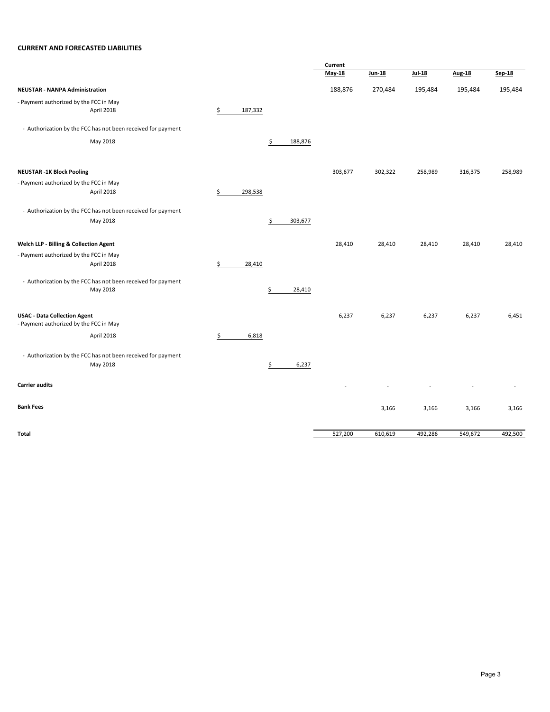#### **CURRENT AND FORECASTED LIABILITIES**

|                                                              |               |               | Current |         |         |               |         |
|--------------------------------------------------------------|---------------|---------------|---------|---------|---------|---------------|---------|
|                                                              |               |               | May-18  | Jun-18  | Jul-18  | <b>Aug-18</b> | Sep-18  |
| <b>NEUSTAR - NANPA Administration</b>                        |               |               | 188,876 | 270,484 | 195,484 | 195,484       | 195,484 |
| - Payment authorized by the FCC in May                       |               |               |         |         |         |               |         |
| April 2018                                                   | \$<br>187,332 |               |         |         |         |               |         |
| - Authorization by the FCC has not been received for payment |               |               |         |         |         |               |         |
| May 2018                                                     |               | \$<br>188,876 |         |         |         |               |         |
|                                                              |               |               | 303,677 | 302,322 |         |               | 258,989 |
| <b>NEUSTAR -1K Block Pooling</b>                             |               |               |         |         | 258,989 | 316,375       |         |
| - Payment authorized by the FCC in May                       |               |               |         |         |         |               |         |
| April 2018                                                   | \$<br>298,538 |               |         |         |         |               |         |
| - Authorization by the FCC has not been received for payment |               |               |         |         |         |               |         |
| May 2018                                                     |               | \$<br>303,677 |         |         |         |               |         |
| Welch LLP - Billing & Collection Agent                       |               |               | 28,410  | 28,410  | 28,410  | 28,410        | 28,410  |
| - Payment authorized by the FCC in May                       |               |               |         |         |         |               |         |
| April 2018                                                   | \$<br>28,410  |               |         |         |         |               |         |
| - Authorization by the FCC has not been received for payment |               |               |         |         |         |               |         |
| May 2018                                                     |               | \$<br>28,410  |         |         |         |               |         |
| <b>USAC - Data Collection Agent</b>                          |               |               | 6,237   | 6,237   | 6,237   | 6,237         | 6,451   |
| - Payment authorized by the FCC in May                       |               |               |         |         |         |               |         |
| April 2018                                                   | \$<br>6,818   |               |         |         |         |               |         |
| - Authorization by the FCC has not been received for payment |               |               |         |         |         |               |         |
| May 2018                                                     |               | \$<br>6,237   |         |         |         |               |         |
| <b>Carrier audits</b>                                        |               |               |         |         |         |               |         |
| <b>Bank Fees</b>                                             |               |               |         | 3,166   | 3,166   | 3,166         | 3,166   |
|                                                              |               |               |         |         |         |               |         |
| Total                                                        |               |               | 527,200 | 610,619 | 492,286 | 549,672       | 492,500 |